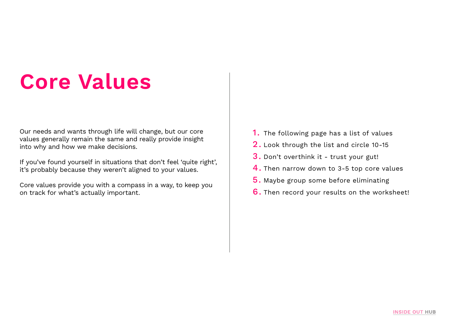## **Core Values**

Our needs and wants through life will change, but our core values generally remain the same and really provide insight into why and how we make decisions.

If you've found yourself in situations that don't feel 'quite right', it's probably because they weren't aligned to your values.

Core values provide you with a compass in a way, to keep you on track for what's actually important.

- 1. The following page has a list of values
- 2. Look through the list and circle 10-15
- 3. Don't overthink it trust your gut!
- 4. Then narrow down to 3-5 top core values
- 5. Maybe group some before eliminating
- 6. Then record your results on the worksheet!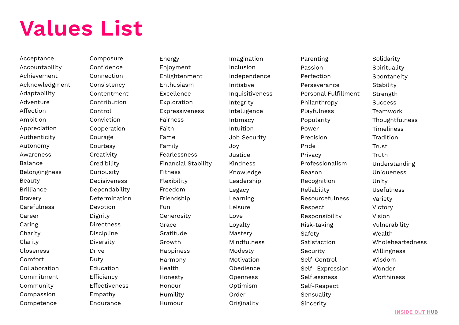## **Values List**

Acceptance Accountability Achievement Acknowledgment Adaptability Adventure Affection Ambition Appreciation Authenticity Autonomy **Awareness** Balance Belongingness Beauty Brilliance Bravery Carefulness Career **Caring Charity** Clarity Closeness Comfort Collaboration Commitment Community Compassion Competence

Composure Confidence Connection Consistency Contentment Contribution Control Conviction Cooperation Courage Courtesy **Creativity Credibility** Curiousity Decisiveness Dependability Determination Devotion Dignity Directness Discipline Diversity Drive Duty **Education Efficiency** Effectiveness Empathy **Endurance** 

Energy Enjoyment Enlightenment Enthusiasm Excellence **Exploration** Expressiveness Fairness Faith Fame Family Fearlessness Financial Stability Fitness Flexibility Freedom Friendship Fun Generosity Grace Gratitude Growth Happiness Harmony Health Honesty Honour Humility Humour

Imagination Inclusion Independence Initiative Inquisitiveness Integrity Intelligence Intimacy Intuition Job Security Joy Justice Kindness Knowledge Leadership Legacy Learning Leisure Love Loyalty Mastery Mindfulness Modesty Motivation Obedience Openness Optimism Order **Originality** 

Parenting Passion Perfection Perseverance Personal Fulfillment Philanthropy Playfulness Popularity Power Precision Pride Privacy Professionalism Reason Recognition Reliability Resourcefulness Respect Responsibility Risk-taking Safety Satisfaction **Security** Self-Control Self- Expression Selflessness Self-Respect Sensuality Sincerity

Solidarity Spirituality Spontaneity Stability **Strength** Success Teamwork Thoughtfulness **Timeliness Tradition** Trust Truth Understanding **Uniqueness** Unity Usefulness Variety Victory Vision Vulnerability Wealth Wholeheartedness Willingness Wisdom **Wonder Worthiness**